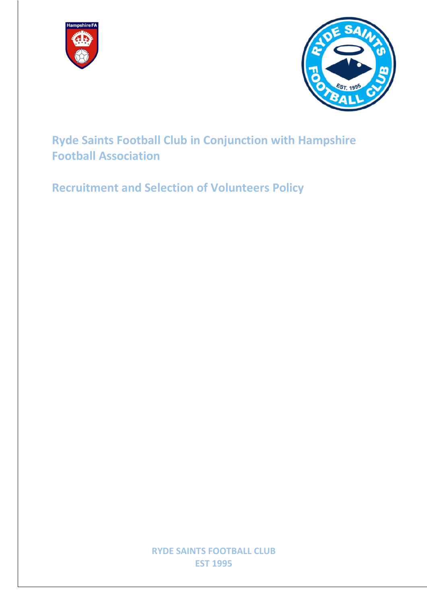



**Ryde Saints Football Club in Conjunction with Hampshire Football Association**

**Recruitment and Selection of Volunteers Policy**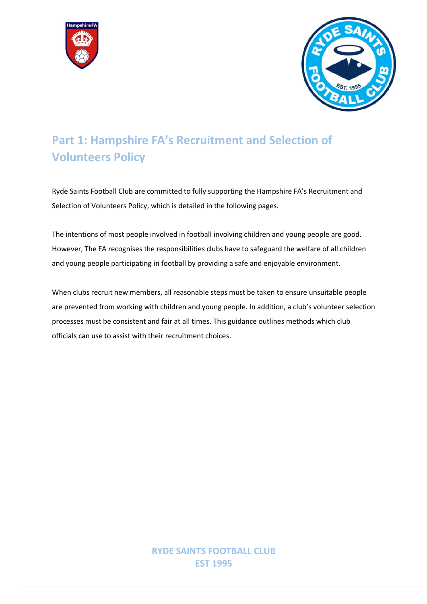



# **Part 1: Hampshire FA's Recruitment and Selection of Volunteers Policy**

Ryde Saints Football Club are committed to fully supporting the Hampshire FA's Recruitment and Selection of Volunteers Policy, which is detailed in the following pages.

The intentions of most people involved in football involving children and young people are good. However, The FA recognises the responsibilities clubs have to safeguard the welfare of all children and young people participating in football by providing a safe and enjoyable environment.

When clubs recruit new members, all reasonable steps must be taken to ensure unsuitable people are prevented from working with children and young people. In addition, a club's volunteer selection processes must be consistent and fair at all times. This guidance outlines methods which club officials can use to assist with their recruitment choices.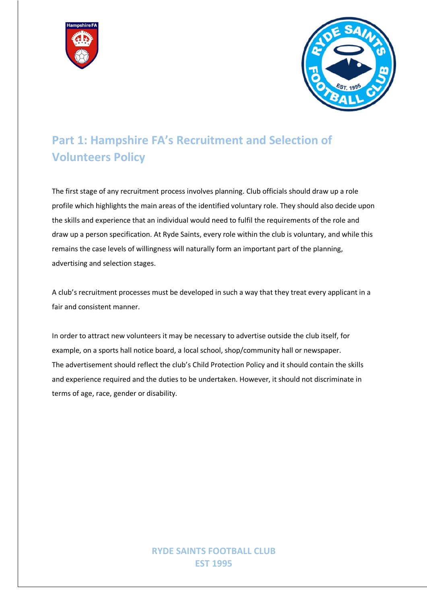



# **Part 1: Hampshire FA's Recruitment and Selection of Volunteers Policy**

The first stage of any recruitment process involves planning. Club officials should draw up a role profile which highlights the main areas of the identified voluntary role. They should also decide upon the skills and experience that an individual would need to fulfil the requirements of the role and draw up a person specification. At Ryde Saints, every role within the club is voluntary, and while this remains the case levels of willingness will naturally form an important part of the planning, advertising and selection stages.

A club's recruitment processes must be developed in such a way that they treat every applicant in a fair and consistent manner.

In order to attract new volunteers it may be necessary to advertise outside the club itself, for example, on a sports hall notice board, a local school, shop/community hall or newspaper. The advertisement should reflect the club's Child Protection Policy and it should contain the skills and experience required and the duties to be undertaken. However, it should not discriminate in terms of age, race, gender or disability.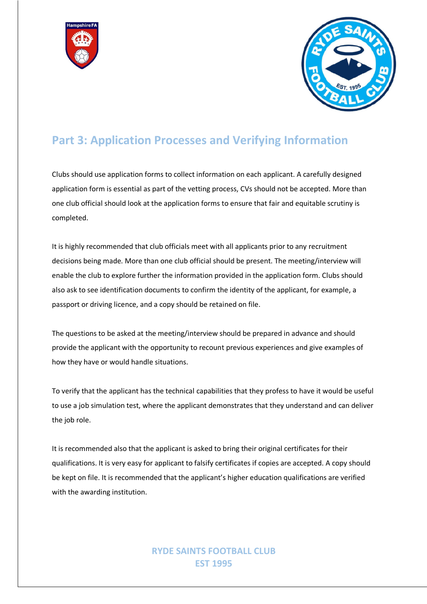



### **Part 3: Application Processes and Verifying Information**

Clubs should use application forms to collect information on each applicant. A carefully designed application form is essential as part of the vetting process, CVs should not be accepted. More than one club official should look at the application forms to ensure that fair and equitable scrutiny is completed.

It is highly recommended that club officials meet with all applicants prior to any recruitment decisions being made. More than one club official should be present. The meeting/interview will enable the club to explore further the information provided in the application form. Clubs should also ask to see identification documents to confirm the identity of the applicant, for example, a passport or driving licence, and a copy should be retained on file.

The questions to be asked at the meeting/interview should be prepared in advance and should provide the applicant with the opportunity to recount previous experiences and give examples of how they have or would handle situations.

To verify that the applicant has the technical capabilities that they profess to have it would be useful to use a job simulation test, where the applicant demonstrates that they understand and can deliver the job role.

It is recommended also that the applicant is asked to bring their original certificates for their qualifications. It is very easy for applicant to falsify certificates if copies are accepted. A copy should be kept on file. It is recommended that the applicant's higher education qualifications are verified with the awarding institution.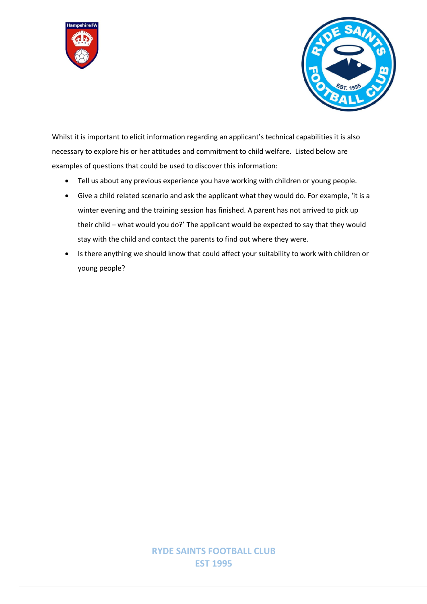



Whilst it is important to elicit information regarding an applicant's technical capabilities it is also necessary to explore his or her attitudes and commitment to child welfare. Listed below are examples of questions that could be used to discover this information:

- Tell us about any previous experience you have working with children or young people.
- Give a child related scenario and ask the applicant what they would do. For example, 'it is a winter evening and the training session has finished. A parent has not arrived to pick up their child – what would you do?' The applicant would be expected to say that they would stay with the child and contact the parents to find out where they were.
- Is there anything we should know that could affect your suitability to work with children or young people?